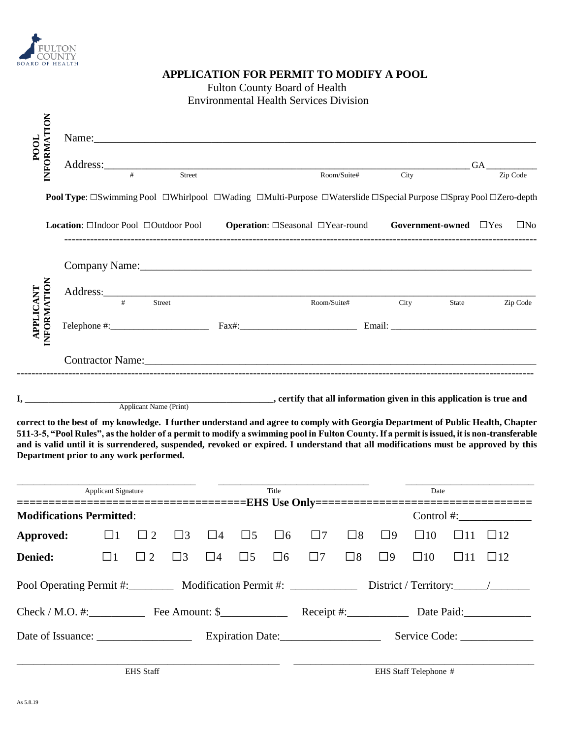

## **APPLICATION FOR PERMIT TO MODIFY A POOL** Fulton County Board of Health Environmental Health Services Division

| INFORMATION<br><b>POOL</b>      |                                                                                                           |   |               |        | Name:    |                                                                                                                                                                                                                                |      |       |     |           |
|---------------------------------|-----------------------------------------------------------------------------------------------------------|---|---------------|--------|----------|--------------------------------------------------------------------------------------------------------------------------------------------------------------------------------------------------------------------------------|------|-------|-----|-----------|
|                                 | Address:                                                                                                  | # |               | Street |          | Room/Suite#                                                                                                                                                                                                                    |      |       | GA. |           |
|                                 |                                                                                                           |   |               |        |          |                                                                                                                                                                                                                                | City |       |     | Zip Code  |
|                                 |                                                                                                           |   |               |        |          | Pool Type: □Swimming Pool □Whirlpool □Wading □Multi-Purpose □Waterslide □Special Purpose □Spray Pool □Zero-depth                                                                                                               |      |       |     |           |
|                                 |                                                                                                           |   |               |        |          |                                                                                                                                                                                                                                |      |       |     | $\Box$ No |
|                                 | <b>Location:</b> ⊡Indoor Pool □Outdoor Pool <b>Operation:</b> □Seasonal □Year-round Government-owned □Yes |   |               |        |          |                                                                                                                                                                                                                                |      |       |     |           |
|                                 |                                                                                                           |   |               |        |          | Company Name: 2008 Company Name: 2008 Company Name: 2008 Company Name: 2008 Company Name: 2008 Company Name: 2008 Company Name: 2008 Company Name: 2008 Company Name: 2008 Company Name: 2008 Company Name: 2008 Company Name: |      |       |     |           |
|                                 | Address:                                                                                                  | # | <b>Street</b> |        |          | Room/Suite#                                                                                                                                                                                                                    | City | State |     |           |
| <b>INFORMATION</b><br>APPLICANT | $\text{Telephone} \#:\_$                                                                                  |   |               |        | $Fax\#:$ |                                                                                                                                                                                                                                |      |       |     | Zip Code  |

**I, \_\_\_\_\_\_\_\_\_\_\_\_\_\_\_\_\_\_\_\_\_\_\_\_\_\_\_\_\_\_\_\_\_\_\_\_\_\_\_\_\_\_\_\_\_\_\_\_\_\_\_\_\_, certify that all information given in this application is true and** Applicant Name (Print)

**correct to the best of my knowledge. I further understand and agree to comply with Georgia Department of Public Health, Chapter 511-3-5, "Pool Rules", as the holder of a permit to modify a swimming pool in Fulton County. If a permit is issued, it is non-transferable and is valid until it is surrendered, suspended, revoked or expired. I understand that all modifications must be approved by this Department prior to any work performed.**

| <b>Applicant Signature</b>      | Title<br>===================================EHS Use Only================================= |               |          |                  |             | Date     |          |               |                |              |  |              |
|---------------------------------|-------------------------------------------------------------------------------------------|---------------|----------|------------------|-------------|----------|----------|---------------|----------------|--------------|--|--------------|
| <b>Modifications Permitted:</b> |                                                                                           |               |          |                  |             |          |          |               | Control $\#$ : |              |  |              |
| Approved:                       | $\Box$ 1                                                                                  | $\Box$ 2      | $\Box$ 3 | $\Box$ 4         | $\square$ 5 | $\Box$ 6 | $\Box$ 7 | $\square$ 8   | $\Box$ 9       | $\square$ 10 |  | $\Box$ 12    |
| Denied:                         | l 11                                                                                      | $\mathcal{D}$ | $\Box$ 3 | $\Box$ 4         | $\square$ 5 | $\Box$ 6 | $\Box$   | $\square$     | $\Box$ 9       | $\square$ 10 |  | $\square$ 12 |
|                                 | Pool Operating Permit #: Modification Permit #: ___________                               |               |          |                  |             |          |          |               |                |              |  |              |
|                                 | $Check / M.O. #:$ Fee Amount: \$<br>$\text{Receipt } \#$ :                                |               |          |                  | Date Paid:  |          |          |               |                |              |  |              |
|                                 |                                                                                           |               |          | Expiration Date: |             |          |          | Service Code: |                |              |  |              |
|                                 |                                                                                           |               |          |                  |             |          |          |               |                |              |  |              |

EHS Staff Telephone #